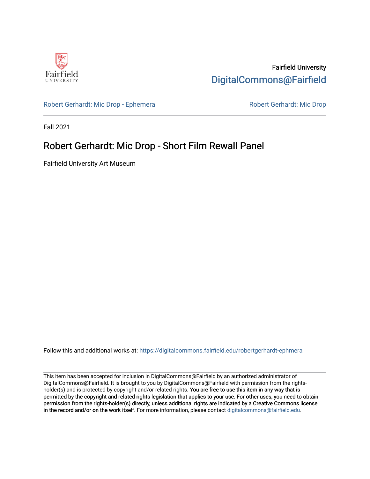

Fairfield University [DigitalCommons@Fairfield](https://digitalcommons.fairfield.edu/) 

[Robert Gerhardt: Mic Drop - Ephemera](https://digitalcommons.fairfield.edu/robertgerhardt-ephmera) Robert Gerhardt: Mic Drop

Fall 2021

## Robert Gerhardt: Mic Drop - Short Film Rewall Panel

Fairfield University Art Museum

Follow this and additional works at: [https://digitalcommons.fairfield.edu/robertgerhardt-ephmera](https://digitalcommons.fairfield.edu/robertgerhardt-ephmera?utm_source=digitalcommons.fairfield.edu%2Frobertgerhardt-ephmera%2F5&utm_medium=PDF&utm_campaign=PDFCoverPages) 

This item has been accepted for inclusion in DigitalCommons@Fairfield by an authorized administrator of DigitalCommons@Fairfield. It is brought to you by DigitalCommons@Fairfield with permission from the rightsholder(s) and is protected by copyright and/or related rights. You are free to use this item in any way that is permitted by the copyright and related rights legislation that applies to your use. For other uses, you need to obtain permission from the rights-holder(s) directly, unless additional rights are indicated by a Creative Commons license in the record and/or on the work itself. For more information, please contact [digitalcommons@fairfield.edu.](mailto:digitalcommons@fairfield.edu)